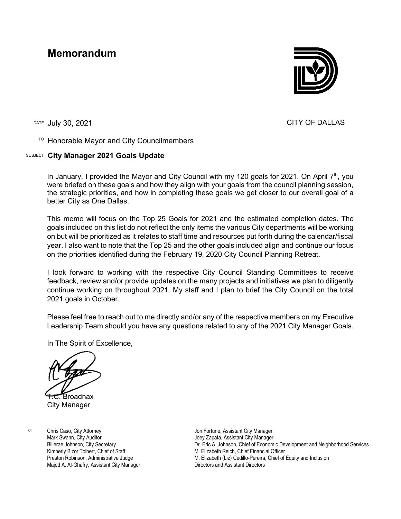## **Memorandum**



DATE JUIV 30, 2021 **CITY OF DALLAS** 

## TO Honorable Mayor and City Councilmembers

## SUBJECT **City Manager 2021 Goals Update**

In January, I provided the Mayor and City Council with my 120 goals for 2021. On April  $7<sup>th</sup>$ , you were briefed on these goals and how they align with your goals from the council planning session, the strategic priorities, and how in completing these goals we get closer to our overall goal of a better City as One Dallas.

This memo will focus on the Top 25 Goals for 2021 and the estimated completion dates. The goals included on this list do not reflect the only items the various City departments will be working on but will be prioritized as it relates to staff time and resources put forth during the calendar/fiscal year. I also want to note that the Top 25 and the other goals included align and continue our focus on the priorities identified during the February 19, 2020 City Council Planning Retreat.

I look forward to working with the respective City Council Standing Committees to receive feedback, review and/or provide updates on the many projects and initiatives we plan to diligently continue working on throughout 2021. My staff and I plan to brief the City Council on the total 2021 goals in October.

Please feel free to reach out to me directly and/or any of the respective members on my Executive Leadership Team should you have any questions related to any of the 2021 City Manager Goals.

In The Spirit of Excellence,

**Broadnax** 

City Manager

c: Chris Caso, City Attorney Mark Swann, City Auditor Bilierae Johnson, City Secretary Kimberly Bizor Tolbert, Chief of Staff Preston Robinson, Administrative Judge Majed A. Al-Ghafry, Assistant City Manager Jon Fortune, Assistant City Manager Joey Zapata, Assistant City Manager Dr. Eric A. Johnson, Chief of Economic Development and Neighborhood Services M. Elizabeth Reich, Chief Financial Officer M. Elizabeth (Liz) Cedillo-Pereira, Chief of Equity and Inclusion Directors and Assistant Directors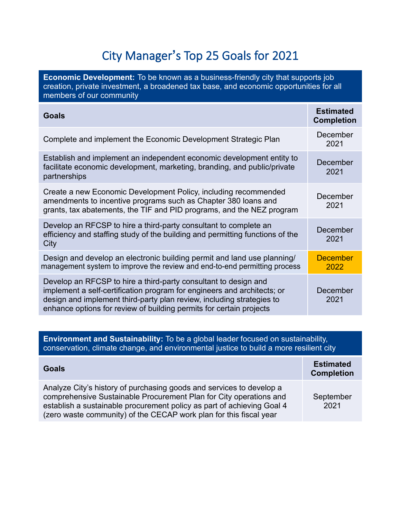## City Manager**'**s Top 25 Goals for 2021

| <b>Economic Development:</b> To be known as a business-friendly city that supports job<br>creation, private investment, a broadened tax base, and economic opportunities for all<br>members of our community                                                                               |                                       |  |
|--------------------------------------------------------------------------------------------------------------------------------------------------------------------------------------------------------------------------------------------------------------------------------------------|---------------------------------------|--|
| <b>Goals</b>                                                                                                                                                                                                                                                                               | <b>Estimated</b><br><b>Completion</b> |  |
| Complete and implement the Economic Development Strategic Plan                                                                                                                                                                                                                             | December<br>2021                      |  |
| Establish and implement an independent economic development entity to<br>facilitate economic development, marketing, branding, and public/private<br>partnerships                                                                                                                          | December<br>2021                      |  |
| Create a new Economic Development Policy, including recommended<br>amendments to incentive programs such as Chapter 380 loans and<br>grants, tax abatements, the TIF and PID programs, and the NEZ program                                                                                 | December<br>2021                      |  |
| Develop an RFCSP to hire a third-party consultant to complete an<br>efficiency and staffing study of the building and permitting functions of the<br>City                                                                                                                                  | December<br>2021                      |  |
| Design and develop an electronic building permit and land use planning/<br>management system to improve the review and end-to-end permitting process                                                                                                                                       | <b>December</b><br>2022               |  |
| Develop an RFCSP to hire a third-party consultant to design and<br>implement a self-certification program for engineers and architects; or<br>design and implement third-party plan review, including strategies to<br>enhance options for review of building permits for certain projects | December<br>2021                      |  |

**Environment and Sustainability:** To be a global leader focused on sustainability, conservation, climate change, and environmental justice to build a more resilient city

| <b>Goals</b>                                                                                                                                                                                                                                                                               | <b>Estimated</b><br><b>Completion</b> |
|--------------------------------------------------------------------------------------------------------------------------------------------------------------------------------------------------------------------------------------------------------------------------------------------|---------------------------------------|
| Analyze City's history of purchasing goods and services to develop a<br>comprehensive Sustainable Procurement Plan for City operations and<br>establish a sustainable procurement policy as part of achieving Goal 4<br>(zero waste community) of the CECAP work plan for this fiscal year | September<br>2021                     |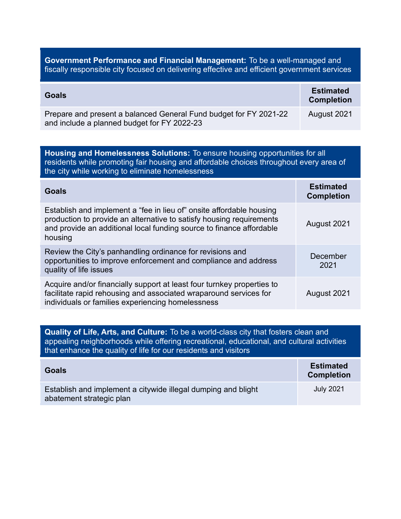**Government Performance and Financial Management:** To be a well-managed and fiscally responsible city focused on delivering effective and efficient government services

| <b>Goals</b>                                                                                                     | <b>Estimated</b><br><b>Completion</b> |
|------------------------------------------------------------------------------------------------------------------|---------------------------------------|
| Prepare and present a balanced General Fund budget for FY 2021-22<br>and include a planned budget for FY 2022-23 | August 2021                           |

| <b>Housing and Homelessness Solutions:</b> To ensure housing opportunities for all<br>residents while promoting fair housing and affordable choices throughout every area of<br>the city while working to eliminate homelessness |                                       |
|----------------------------------------------------------------------------------------------------------------------------------------------------------------------------------------------------------------------------------|---------------------------------------|
| <b>Goals</b>                                                                                                                                                                                                                     | <b>Estimated</b><br><b>Completion</b> |
| Establish and implement a "fee in lieu of" onsite affordable housing<br>production to provide an alternative to satisfy housing requirements<br>and provide an additional local funding source to finance affordable<br>housing  | August 2021                           |
| Review the City's panhandling ordinance for revisions and<br>opportunities to improve enforcement and compliance and address<br>quality of life issues                                                                           | December<br>2021                      |
| Acquire and/or financially support at least four turnkey properties to<br>facilitate rapid rehousing and associated wraparound services for<br>individuals or families experiencing homelessness                                 | August 2021                           |

**Quality of Life, Arts, and Culture:** To be a world-class city that fosters clean and appealing neighborhoods while offering recreational, educational, and cultural activities that enhance the quality of life for our residents and visitors

| <b>Goals</b>                                                                              | <b>Estimated</b><br><b>Completion</b> |
|-------------------------------------------------------------------------------------------|---------------------------------------|
| Establish and implement a citywide illegal dumping and blight<br>abatement strategic plan | <b>July 2021</b>                      |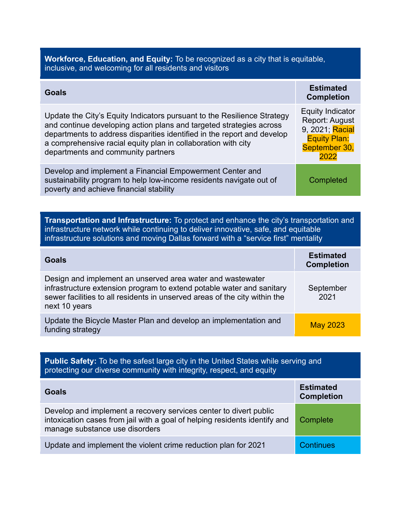| <b>Workforce, Education, and Equity:</b> To be recognized as a city that is equitable,<br>inclusive, and welcoming for all residents and visitors                                                                                                                                                                                |                                                                                                                     |  |
|----------------------------------------------------------------------------------------------------------------------------------------------------------------------------------------------------------------------------------------------------------------------------------------------------------------------------------|---------------------------------------------------------------------------------------------------------------------|--|
| Goals                                                                                                                                                                                                                                                                                                                            | <b>Estimated</b><br><b>Completion</b>                                                                               |  |
| Update the City's Equity Indicators pursuant to the Resilience Strategy<br>and continue developing action plans and targeted strategies across<br>departments to address disparities identified in the report and develop<br>a comprehensive racial equity plan in collaboration with city<br>departments and community partners | <b>Equity Indicator</b><br><b>Report: August</b><br>9, 2021; Racial<br><b>Equity Plan:</b><br>September 30,<br>2022 |  |
| Develop and implement a Financial Empowerment Center and<br>sustainability program to help low-income residents navigate out of<br>poverty and achieve financial stability                                                                                                                                                       | Completed                                                                                                           |  |

**Transportation and Infrastructure:** To protect and enhance the city's transportation and infrastructure network while continuing to deliver innovative, safe, and equitable infrastructure solutions and moving Dallas forward with a "service first" mentality

| Goals                                                                                                                                                                                                                              | <b>Estimated</b><br><b>Completion</b> |
|------------------------------------------------------------------------------------------------------------------------------------------------------------------------------------------------------------------------------------|---------------------------------------|
| Design and implement an unserved area water and wastewater<br>infrastructure extension program to extend potable water and sanitary<br>sewer facilities to all residents in unserved areas of the city within the<br>next 10 years | September<br>2021                     |
| Update the Bicycle Master Plan and develop an implementation and<br>funding strategy                                                                                                                                               | <b>May 2023</b>                       |

| <b>Public Safety:</b> To be the safest large city in the United States while serving and<br>protecting our diverse community with integrity, respect, and equity                  |                                       |
|-----------------------------------------------------------------------------------------------------------------------------------------------------------------------------------|---------------------------------------|
| Goals                                                                                                                                                                             | <b>Estimated</b><br><b>Completion</b> |
| Develop and implement a recovery services center to divert public<br>intoxication cases from jail with a goal of helping residents identify and<br>manage substance use disorders | Complete                              |
| Update and implement the violent crime reduction plan for 2021                                                                                                                    | <b>Continues</b>                      |